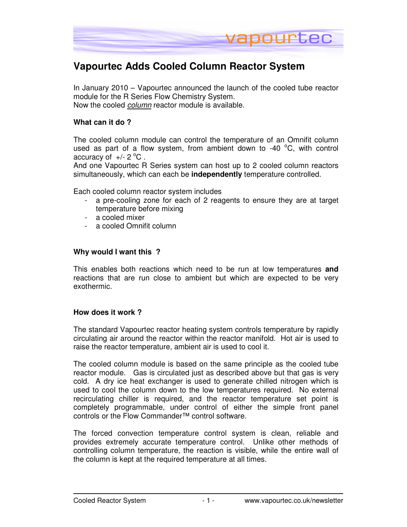

# **Vapourtec Adds Cooled Column Reactor System**

In January 2010 – Vapourtec announced the launch of the cooled tube reactor module for the R Series Flow Chemistry System. Now the cooled column reactor module is available.

### **What can it do ?**

The cooled column module can control the temperature of an Omnifit column used as part of a flow system, from ambient down to -40  $\mathrm{^{\circ}C}$ , with control accuracy of  $+/- 2$  °C.

And one Vapourtec R Series system can host up to 2 cooled column reactors simultaneously, which can each be **independently** temperature controlled.

Each cooled column reactor system includes

- a pre-cooling zone for each of 2 reagents to ensure they are at target temperature before mixing
- a cooled mixer
- a cooled Omnifit column

#### **Why would I want this ?**

This enables both reactions which need to be run at low temperatures **and**  reactions that are run close to ambient but which are expected to be very exothermic.

#### **How does it work ?**

The standard Vapourtec reactor heating system controls temperature by rapidly circulating air around the reactor within the reactor manifold. Hot air is used to raise the reactor temperature, ambient air is used to cool it.

The cooled column module is based on the same principle as the cooled tube reactor module. Gas is circulated just as described above but that gas is very cold. A dry ice heat exchanger is used to generate chilled nitrogen which is used to cool the column down to the low temperatures required. No external recirculating chiller is required, and the reactor temperature set point is completely programmable, under control of either the simple front panel controls or the Flow Commander™ control software.

The forced convection temperature control system is clean, reliable and provides extremely accurate temperature control. Unlike other methods of controlling column temperature, the reaction is visible, while the entire wall of the column is kept at the required temperature at all times.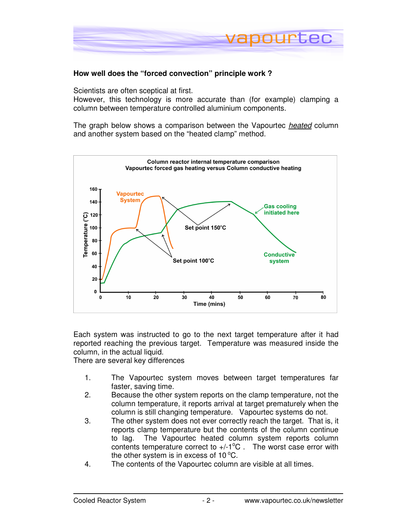

# **How well does the "forced convection" principle work ?**

Scientists are often sceptical at first.

However, this technology is more accurate than (for example) clamping a column between temperature controlled aluminium components.

The graph below shows a comparison between the Vapourtec heated column and another system based on the "heated clamp" method.



Each system was instructed to go to the next target temperature after it had reported reaching the previous target. Temperature was measured inside the column, in the actual liquid.

There are several key differences

- 1. The Vapourtec system moves between target temperatures far faster, saving time.
- 2. Because the other system reports on the clamp temperature, not the column temperature, it reports arrival at target prematurely when the column is still changing temperature. Vapourtec systems do not.
- 3. The other system does not ever correctly reach the target. That is, it reports clamp temperature but the contents of the column continue to lag. The Vapourtec heated column system reports column contents temperature correct to  $+/-1$ <sup>o</sup>C. The worst case error with the other system is in excess of  $10^{\circ}$ C.
- 4. The contents of the Vapourtec column are visible at all times.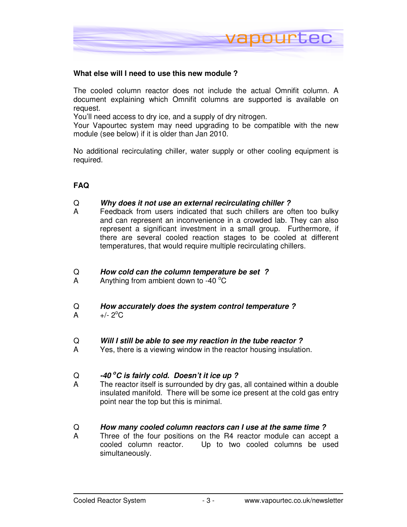

### **What else will I need to use this new module ?**

The cooled column reactor does not include the actual Omnifit column. A document explaining which Omnifit columns are supported is available on request.

You'll need access to dry ice, and a supply of dry nitrogen.

Your Vapourtec system may need upgrading to be compatible with the new module (see below) if it is older than Jan 2010.

No additional recirculating chiller, water supply or other cooling equipment is required.

# **FAQ**

#### Q **Why does it not use an external recirculating chiller ?**

A Feedback from users indicated that such chillers are often too bulky and can represent an inconvenience in a crowded lab. They can also represent a significant investment in a small group. Furthermore, if there are several cooled reaction stages to be cooled at different temperatures, that would require multiple recirculating chillers.

#### Q **How cold can the column temperature be set ?**

A Anything from ambient down to -40  $\mathrm{^{\circ}C}$ 

#### Q **How accurately does the system control temperature ?**

A  $+/- 2^{\circ}C$ 

#### Q **Will I still be able to see my reaction in the tube reactor ?**

A Yes, there is a viewing window in the reactor housing insulation.

#### Q **-40 <sup>o</sup>C is fairly cold. Doesn't it ice up ?**

A The reactor itself is surrounded by dry gas, all contained within a double insulated manifold. There will be some ice present at the cold gas entry point near the top but this is minimal.

#### Q **How many cooled column reactors can I use at the same time ?**

A Three of the four positions on the R4 reactor module can accept a cooled column reactor. Up to two cooled columns be used simultaneously.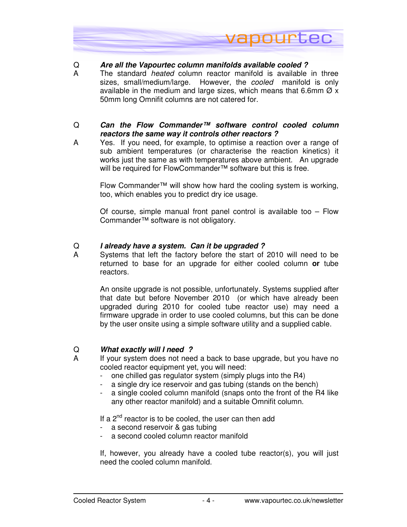

# Q **Are all the Vapourtec column manifolds available cooled ?**

A The standard *heated* column reactor manifold is available in three sizes, small/medium/large. However, the *cooled* manifold is only available in the medium and large sizes, which means that 6.6mm  $\varnothing$  x 50mm long Omnifit columns are not catered for.

# Q **Can the Flow Commander™ software control cooled column reactors the same way it controls other reactors ?**

A Yes. If you need, for example, to optimise a reaction over a range of sub ambient temperatures (or characterise the reaction kinetics) it works just the same as with temperatures above ambient. An upgrade will be required for FlowCommander™ software but this is free.

Flow Commander™ will show how hard the cooling system is working, too, which enables you to predict dry ice usage.

Of course, simple manual front panel control is available too – Flow Commander™ software is not obligatory.

# Q **I already have a system. Can it be upgraded ?**

A Systems that left the factory before the start of 2010 will need to be returned to base for an upgrade for either cooled column **or** tube reactors.

An onsite upgrade is not possible, unfortunately. Systems supplied after that date but before November 2010 (or which have already been upgraded during 2010 for cooled tube reactor use) may need a firmware upgrade in order to use cooled columns, but this can be done by the user onsite using a simple software utility and a supplied cable.

#### Q **What exactly will I need ?**

- A If your system does not need a back to base upgrade, but you have no cooled reactor equipment yet, you will need:
	- one chilled gas regulator system (simply plugs into the R4)
	- a single dry ice reservoir and gas tubing (stands on the bench)
	- a single cooled column manifold (snaps onto the front of the R4 like any other reactor manifold) and a suitable Omnifit column.

If a  $2<sup>nd</sup>$  reactor is to be cooled, the user can then add

- a second reservoir & gas tubing
- a second cooled column reactor manifold

If, however, you already have a cooled tube reactor(s), you will just need the cooled column manifold.